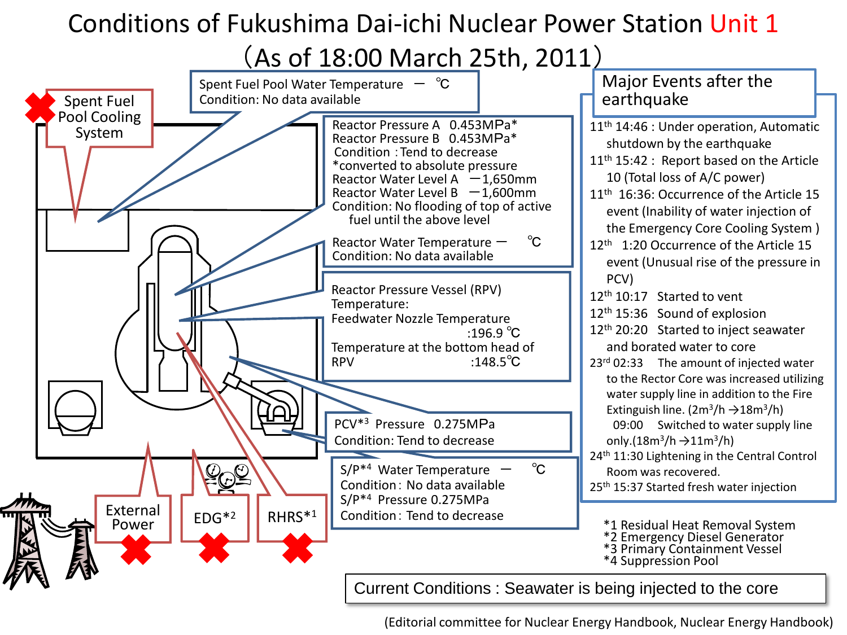### Conditions of Fukushima Dai-ichi Nuclear Power Station Unit 1

(As of 18:00 March 25th, 2011)

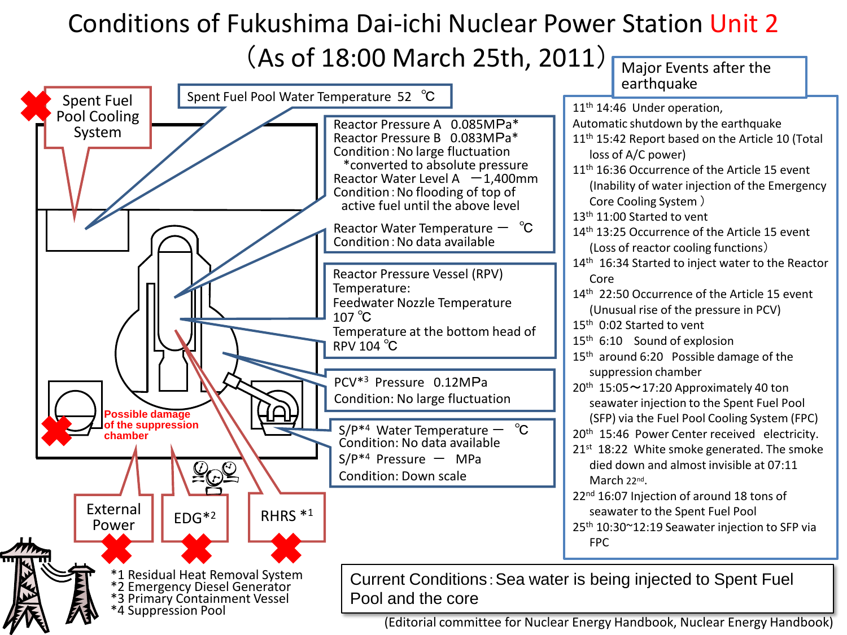## Conditions of Fukushima Dai-ichi Nuclear Power Station Unit 2 (As of 18:00 March 25th, 2011)  $\overline{\phantom{A}}$  Major Events after the

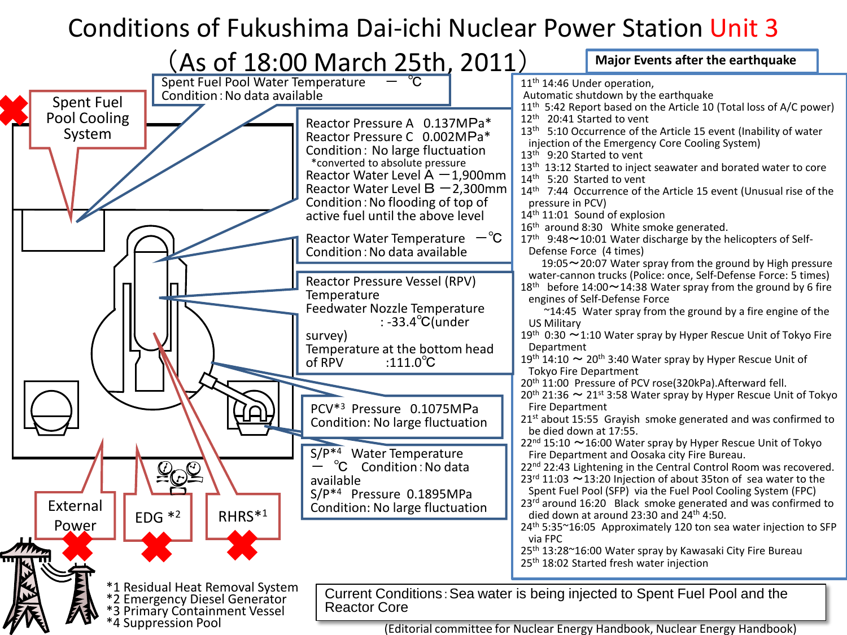# Conditions of Fukushima Dai-ichi Nuclear Power Station Unit 3

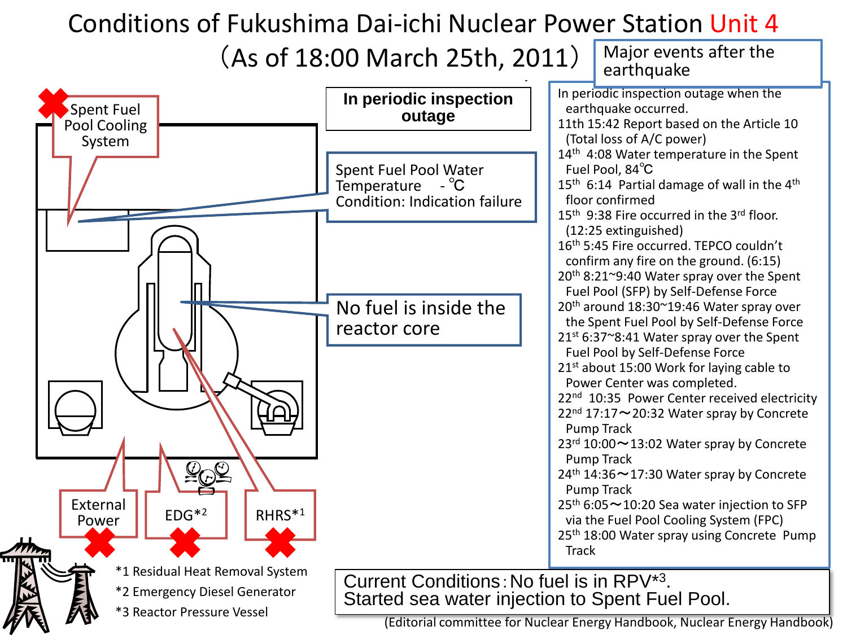#### $\blacksquare$ onditions of Fukushima Dai-ichi Nuclear Power Station Unit Conditions of Fukushima Dai-ichi Nuclear Power Station Unit 4

### $\left\{ \text{A}\right\}$  (S of 18:00 March 25th, 2011)  $\left[ \text{A}\right]$ (As of 18:00 March 25th, 2011)  $\int_{0}^{Major}$  events after the

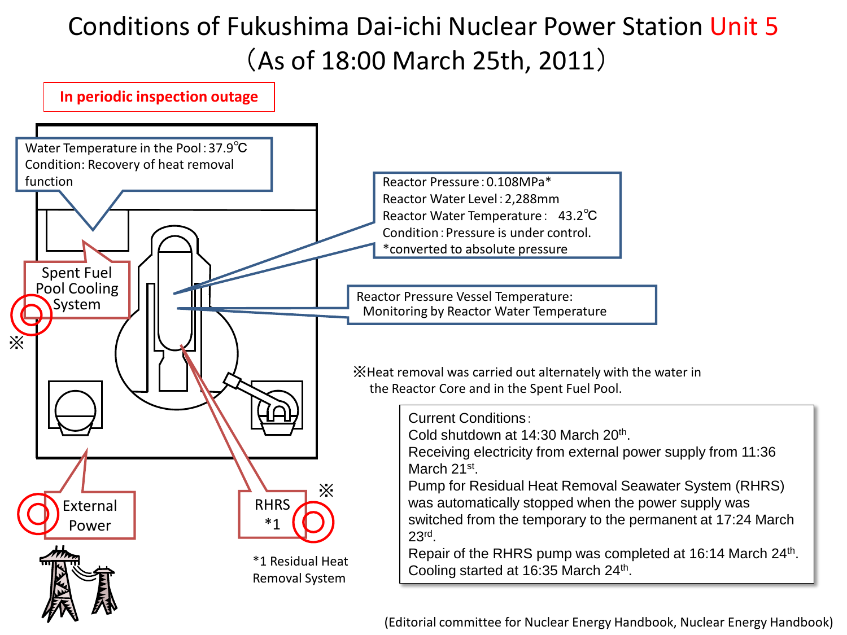## Conditions of Fukushima Dai-ichi Nuclear Power Station Unit 5 (As of 18:00 March 25th, 2011)